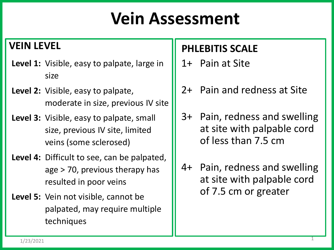## **Vein Assessment**

#### **VEIN LEVEL**

- **Level 1:** Visible, easy to palpate, large in size
- **Level 2:** Visible, easy to palpate, moderate in size, previous IV site
- **Level 3:** Visible, easy to palpate, small size, previous IV site, limited veins (some sclerosed)
- **Level 4:** Difficult to see, can be palpated, age > 70, previous therapy has resulted in poor veins
- **Level 5:** Vein not visible, cannot be palpated, may require multiple techniques

#### **PHLEBITIS SCALE**

- 1+ Pain at Site
- 2+ Pain and redness at Site
- 3+ Pain, redness and swelling at site with palpable cord of less than 7.5 cm
- 4+ Pain, redness and swelling at site with palpable cord of 7.5 cm or greater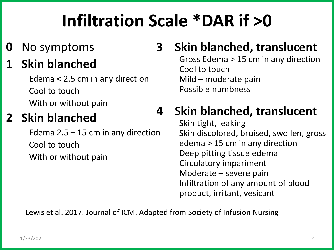## **Infiltration Scale \*DAR if >0**

**0** No symptoms

#### **1 Skin blanched**

Edema < 2.5 cm in any direction Cool to touch With or without pain

### **2 Skin blanched**

Edema  $2.5 - 15$  cm in any direction Cool to touch With or without pain

### **3 Skin blanched, translucent**

Gross Edema > 15 cm in any direction Cool to touch Mild – moderate pain Possible numbness

### **4** S**kin blanched, translucent**

Skin tight, leaking Skin discolored, bruised, swollen, gross edema > 15 cm in any direction Deep pitting tissue edema Circulatory impariment Moderate – severe pain Infiltration of any amount of blood product, irritant, vesicant

Lewis et al. 2017. Journal of ICM. Adapted from Society of Infusion Nursing